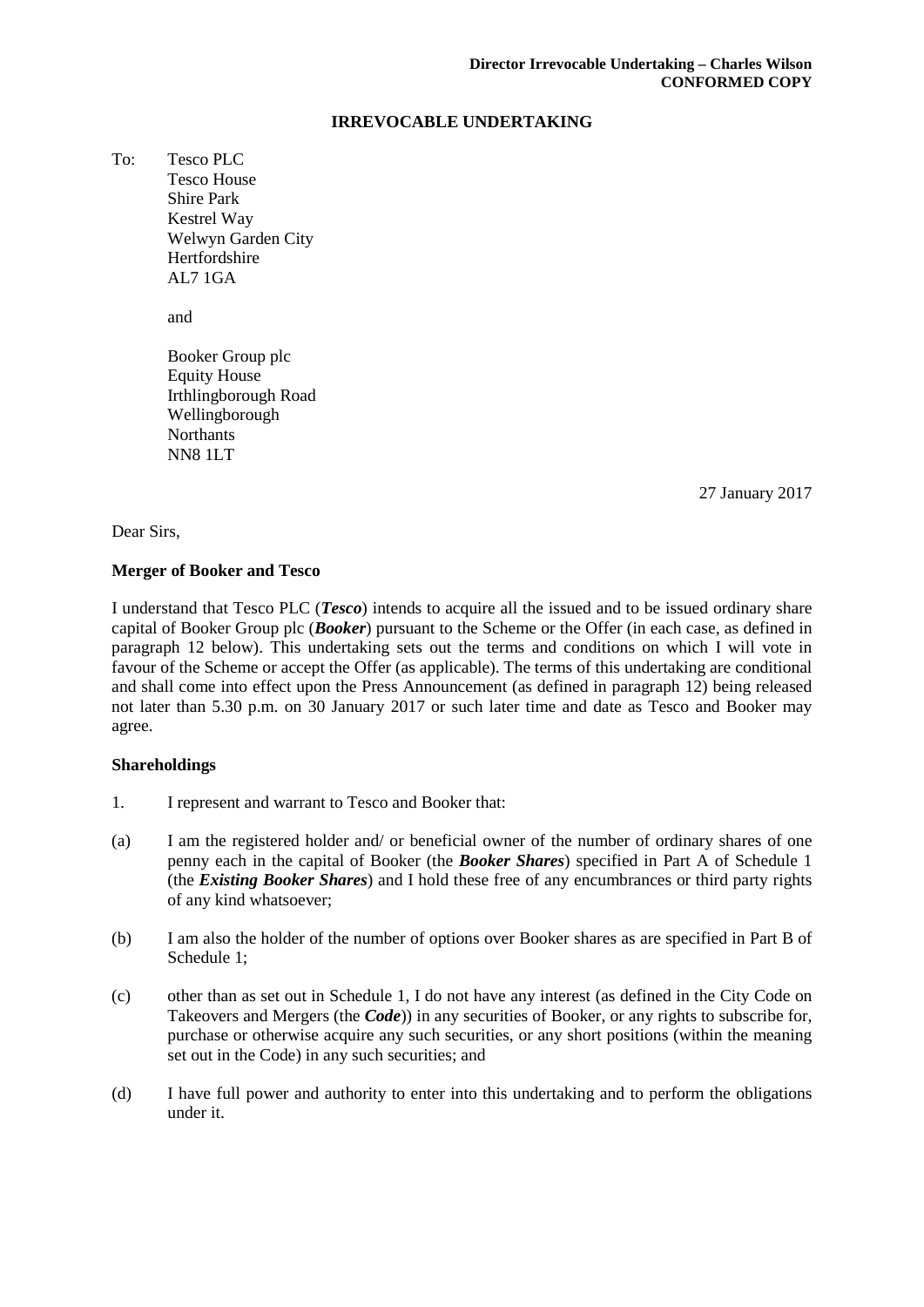### **IRREVOCABLE UNDERTAKING**

To: Tesco PLC Tesco House Shire Park Kestrel Way Welwyn Garden City Hertfordshire AL7 1GA

and

Booker Group plc Equity House Irthlingborough Road Wellingborough **Northants** NN8 1LT

27 January 2017

Dear Sirs,

### **Merger of Booker and Tesco**

I understand that Tesco PLC (*Tesco*) intends to acquire all the issued and to be issued ordinary share capital of Booker Group plc (*Booker*) pursuant to the Scheme or the Offer (in each case, as defined in paragraph [12 below\)](#page-5-0). This undertaking sets out the terms and conditions on which I will vote in favour of the Scheme or accept the Offer (as applicable). The terms of this undertaking are conditional and shall come into effect upon the Press Announcement (as defined in paragraph [12\)](#page-5-0) being released not later than 5.30 p.m. on 30 January 2017 or such later time and date as Tesco and Booker may agree.

## **Shareholdings**

- 1. I represent and warrant to Tesco and Booker that:
- (a) I am the registered holder and/ or beneficial owner of the number of ordinary shares of one penny each in the capital of Booker (the *Booker Shares*) specified in Part A of Schedule 1 (the *Existing Booker Shares*) and I hold these free of any encumbrances or third party rights of any kind whatsoever;
- (b) I am also the holder of the number of options over Booker shares as are specified in Part B of Schedule 1;
- (c) other than as set out in Schedule 1, I do not have any interest (as defined in the City Code on Takeovers and Mergers (the *Code*)) in any securities of Booker, or any rights to subscribe for, purchase or otherwise acquire any such securities, or any short positions (within the meaning set out in the Code) in any such securities; and
- (d) I have full power and authority to enter into this undertaking and to perform the obligations under it.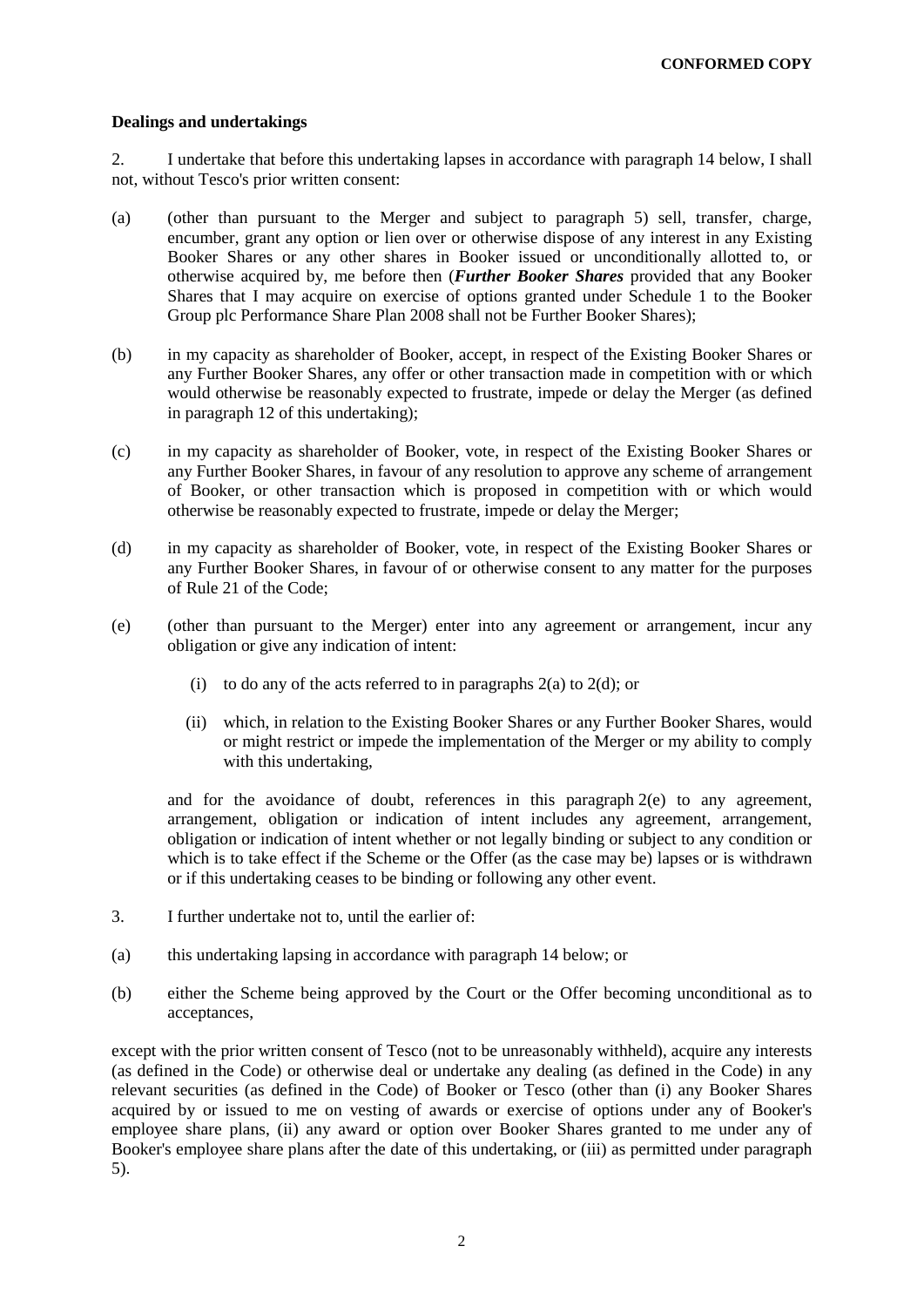### **Dealings and undertakings**

<span id="page-1-3"></span>2. I undertake that before this undertaking lapses in accordance with paragraph [14](#page-6-0) below, I shall not, without Tesco's prior written consent:

- <span id="page-1-0"></span>(a) (other than pursuant to the Merger and subject to paragraph [5\)](#page-2-0) sell, transfer, charge, encumber, grant any option or lien over or otherwise dispose of any interest in any Existing Booker Shares or any other shares in Booker issued or unconditionally allotted to, or otherwise acquired by, me before then (*Further Booker Shares* provided that any Booker Shares that I may acquire on exercise of options granted under Schedule 1 to the Booker Group plc Performance Share Plan 2008 shall not be Further Booker Shares);
- (b) in my capacity as shareholder of Booker, accept, in respect of the Existing Booker Shares or any Further Booker Shares, any offer or other transaction made in competition with or which would otherwise be reasonably expected to frustrate, impede or delay the Merger (as defined in paragraph [12](#page-5-0) of this undertaking);
- (c) in my capacity as shareholder of Booker, vote, in respect of the Existing Booker Shares or any Further Booker Shares, in favour of any resolution to approve any scheme of arrangement of Booker, or other transaction which is proposed in competition with or which would otherwise be reasonably expected to frustrate, impede or delay the Merger;
- <span id="page-1-1"></span>(d) in my capacity as shareholder of Booker, vote, in respect of the Existing Booker Shares or any Further Booker Shares, in favour of or otherwise consent to any matter for the purposes of Rule 21 of the Code;
- <span id="page-1-2"></span>(e) (other than pursuant to the Merger) enter into any agreement or arrangement, incur any obligation or give any indication of intent:
	- (i) to do any of the acts referred to in paragraphs  $2(a)$  to  $2(d)$ ; or
	- (ii) which, in relation to the Existing Booker Shares or any Further Booker Shares, would or might restrict or impede the implementation of the Merger or my ability to comply with this undertaking,

and for the avoidance of doubt, references in this paragraph  $2(e)$  to any agreement, arrangement, obligation or indication of intent includes any agreement, arrangement, obligation or indication of intent whether or not legally binding or subject to any condition or which is to take effect if the Scheme or the Offer (as the case may be) lapses or is withdrawn or if this undertaking ceases to be binding or following any other event.

- <span id="page-1-4"></span>3. I further undertake not to, until the earlier of:
- (a) this undertaking lapsing in accordance with paragraph [14](#page-6-0) below; or
- (b) either the Scheme being approved by the Court or the Offer becoming unconditional as to acceptances,

except with the prior written consent of Tesco (not to be unreasonably withheld), acquire any interests (as defined in the Code) or otherwise deal or undertake any dealing (as defined in the Code) in any relevant securities (as defined in the Code) of Booker or Tesco (other than (i) any Booker Shares acquired by or issued to me on vesting of awards or exercise of options under any of Booker's employee share plans, (ii) any award or option over Booker Shares granted to me under any of Booker's employee share plans after the date of this undertaking, or (iii) as permitted under paragraph [5\)](#page-2-0).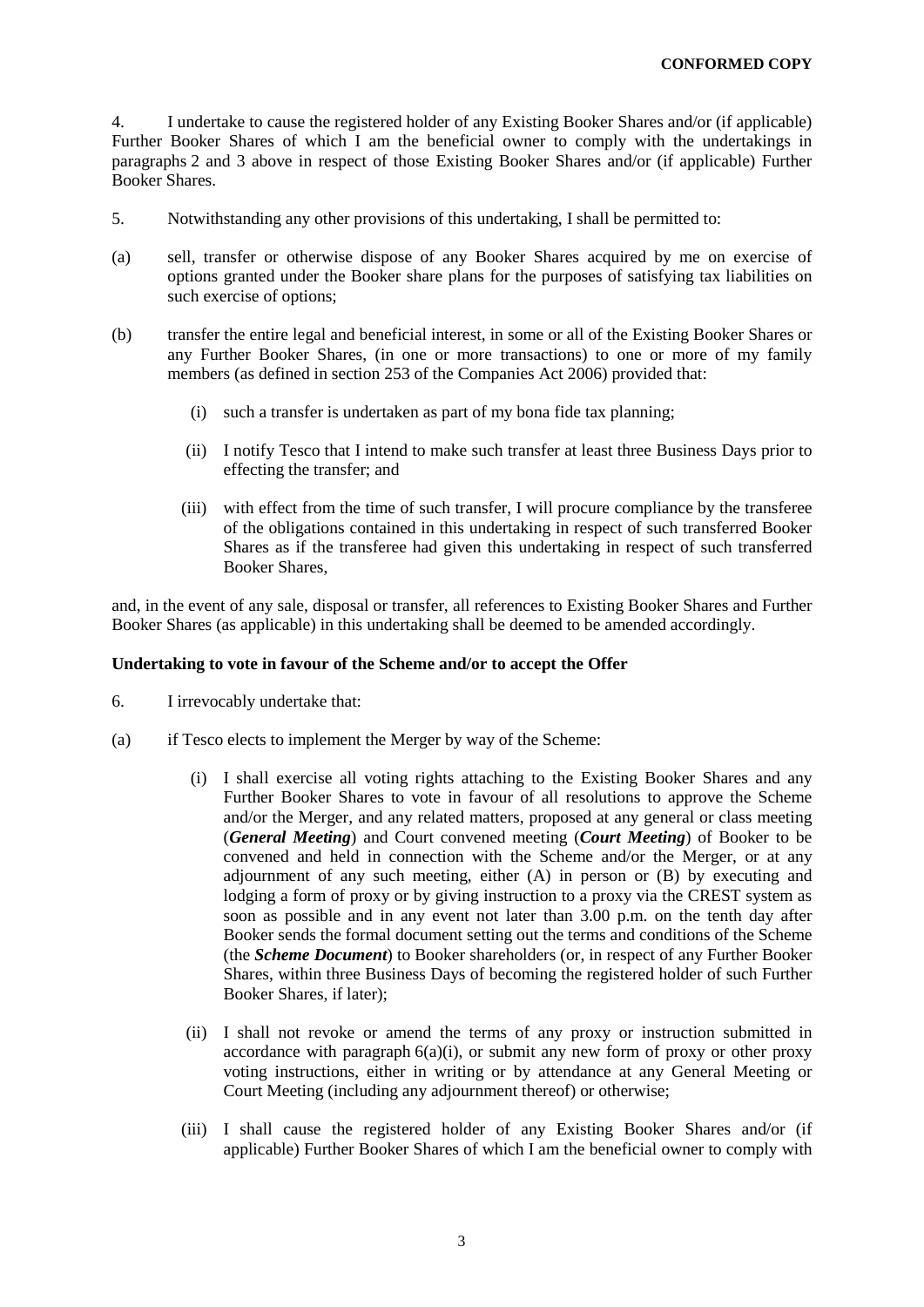<span id="page-2-5"></span>4. I undertake to cause the registered holder of any Existing Booker Shares and/or (if applicable) Further Booker Shares of which I am the beneficial owner to comply with the undertakings in paragraphs [2](#page-1-3) and [3](#page-1-4) above in respect of those Existing Booker Shares and/or (if applicable) Further Booker Shares.

- <span id="page-2-0"></span>5. Notwithstanding any other provisions of this undertaking, I shall be permitted to:
- (a) sell, transfer or otherwise dispose of any Booker Shares acquired by me on exercise of options granted under the Booker share plans for the purposes of satisfying tax liabilities on such exercise of options;
- (b) transfer the entire legal and beneficial interest, in some or all of the Existing Booker Shares or any Further Booker Shares, (in one or more transactions) to one or more of my family members (as defined in section 253 of the Companies Act 2006) provided that:
	- (i) such a transfer is undertaken as part of my bona fide tax planning;
	- (ii) I notify Tesco that I intend to make such transfer at least three Business Days prior to effecting the transfer; and
	- (iii) with effect from the time of such transfer, I will procure compliance by the transferee of the obligations contained in this undertaking in respect of such transferred Booker Shares as if the transferee had given this undertaking in respect of such transferred Booker Shares,

and, in the event of any sale, disposal or transfer, all references to Existing Booker Shares and Further Booker Shares (as applicable) in this undertaking shall be deemed to be amended accordingly.

### **Undertaking to vote in favour of the Scheme and/or to accept the Offer**

- <span id="page-2-1"></span>6. I irrevocably undertake that:
- <span id="page-2-4"></span><span id="page-2-3"></span><span id="page-2-2"></span>(a) if Tesco elects to implement the Merger by way of the Scheme:
	- (i) I shall exercise all voting rights attaching to the Existing Booker Shares and any Further Booker Shares to vote in favour of all resolutions to approve the Scheme and/or the Merger, and any related matters, proposed at any general or class meeting (*General Meeting*) and Court convened meeting (*Court Meeting*) of Booker to be convened and held in connection with the Scheme and/or the Merger, or at any adjournment of any such meeting, either (A) in person or (B) by executing and lodging a form of proxy or by giving instruction to a proxy via the CREST system as soon as possible and in any event not later than 3.00 p.m. on the tenth day after Booker sends the formal document setting out the terms and conditions of the Scheme (the *Scheme Document*) to Booker shareholders (or, in respect of any Further Booker Shares, within three Business Days of becoming the registered holder of such Further Booker Shares, if later);
	- (ii) I shall not revoke or amend the terms of any proxy or instruction submitted in accordance with paragraph  $6(a)(i)$  $6(a)(i)$ , or submit any new form of proxy or other proxy voting instructions, either in writing or by attendance at any General Meeting or Court Meeting (including any adjournment thereof) or otherwise;
	- (iii) I shall cause the registered holder of any Existing Booker Shares and/or (if applicable) Further Booker Shares of which I am the beneficial owner to comply with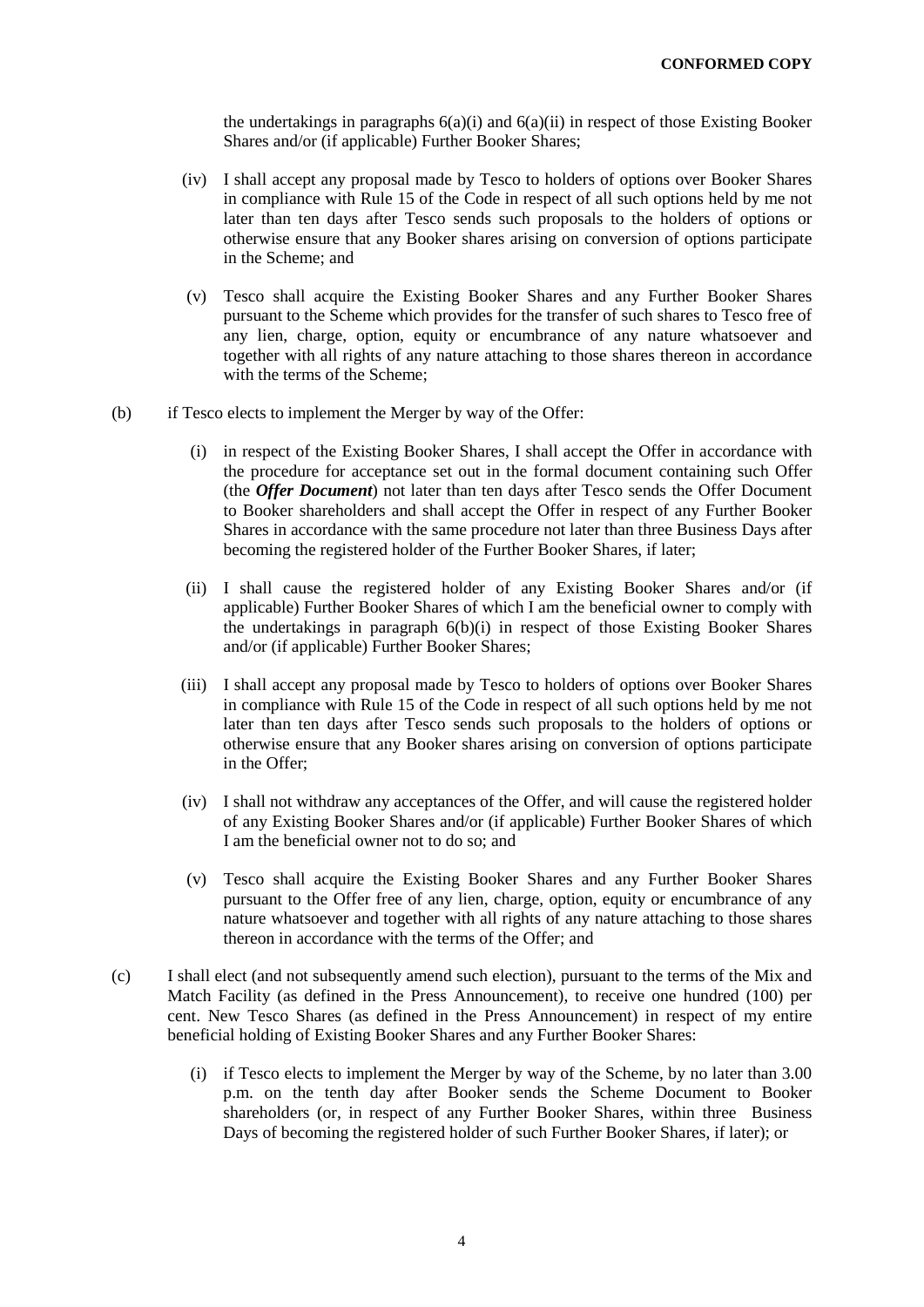the undertakings in paragraphs  $6(a)(i)$  $6(a)(i)$  and  $6(a)(ii)$  $6(a)(ii)$  in respect of those Existing Booker Shares and/or (if applicable) Further Booker Shares;

- (iv) I shall accept any proposal made by Tesco to holders of options over Booker Shares in compliance with Rule 15 of the Code in respect of all such options held by me not later than ten days after Tesco sends such proposals to the holders of options or otherwise ensure that any Booker shares arising on conversion of options participate in the Scheme; and
- (v) Tesco shall acquire the Existing Booker Shares and any Further Booker Shares pursuant to the Scheme which provides for the transfer of such shares to Tesco free of any lien, charge, option, equity or encumbrance of any nature whatsoever and together with all rights of any nature attaching to those shares thereon in accordance with the terms of the Scheme;
- <span id="page-3-0"></span>(b) if Tesco elects to implement the Merger by way of the Offer:
	- (i) in respect of the Existing Booker Shares, I shall accept the Offer in accordance with the procedure for acceptance set out in the formal document containing such Offer (the *Offer Document*) not later than ten days after Tesco sends the Offer Document to Booker shareholders and shall accept the Offer in respect of any Further Booker Shares in accordance with the same procedure not later than three Business Days after becoming the registered holder of the Further Booker Shares, if later;
	- (ii) I shall cause the registered holder of any Existing Booker Shares and/or (if applicable) Further Booker Shares of which I am the beneficial owner to comply with the undertakings in paragraph [6\(b\)\(i\)](#page-3-0) in respect of those Existing Booker Shares and/or (if applicable) Further Booker Shares;
	- (iii) I shall accept any proposal made by Tesco to holders of options over Booker Shares in compliance with Rule 15 of the Code in respect of all such options held by me not later than ten days after Tesco sends such proposals to the holders of options or otherwise ensure that any Booker shares arising on conversion of options participate in the Offer;
	- (iv) I shall not withdraw any acceptances of the Offer, and will cause the registered holder of any Existing Booker Shares and/or (if applicable) Further Booker Shares of which I am the beneficial owner not to do so; and
	- (v) Tesco shall acquire the Existing Booker Shares and any Further Booker Shares pursuant to the Offer free of any lien, charge, option, equity or encumbrance of any nature whatsoever and together with all rights of any nature attaching to those shares thereon in accordance with the terms of the Offer; and
- <span id="page-3-1"></span>(c) I shall elect (and not subsequently amend such election), pursuant to the terms of the Mix and Match Facility (as defined in the Press Announcement), to receive one hundred (100) per cent. New Tesco Shares (as defined in the Press Announcement) in respect of my entire beneficial holding of Existing Booker Shares and any Further Booker Shares:
	- (i) if Tesco elects to implement the Merger by way of the Scheme, by no later than 3.00 p.m. on the tenth day after Booker sends the Scheme Document to Booker shareholders (or, in respect of any Further Booker Shares, within three Business Days of becoming the registered holder of such Further Booker Shares, if later); or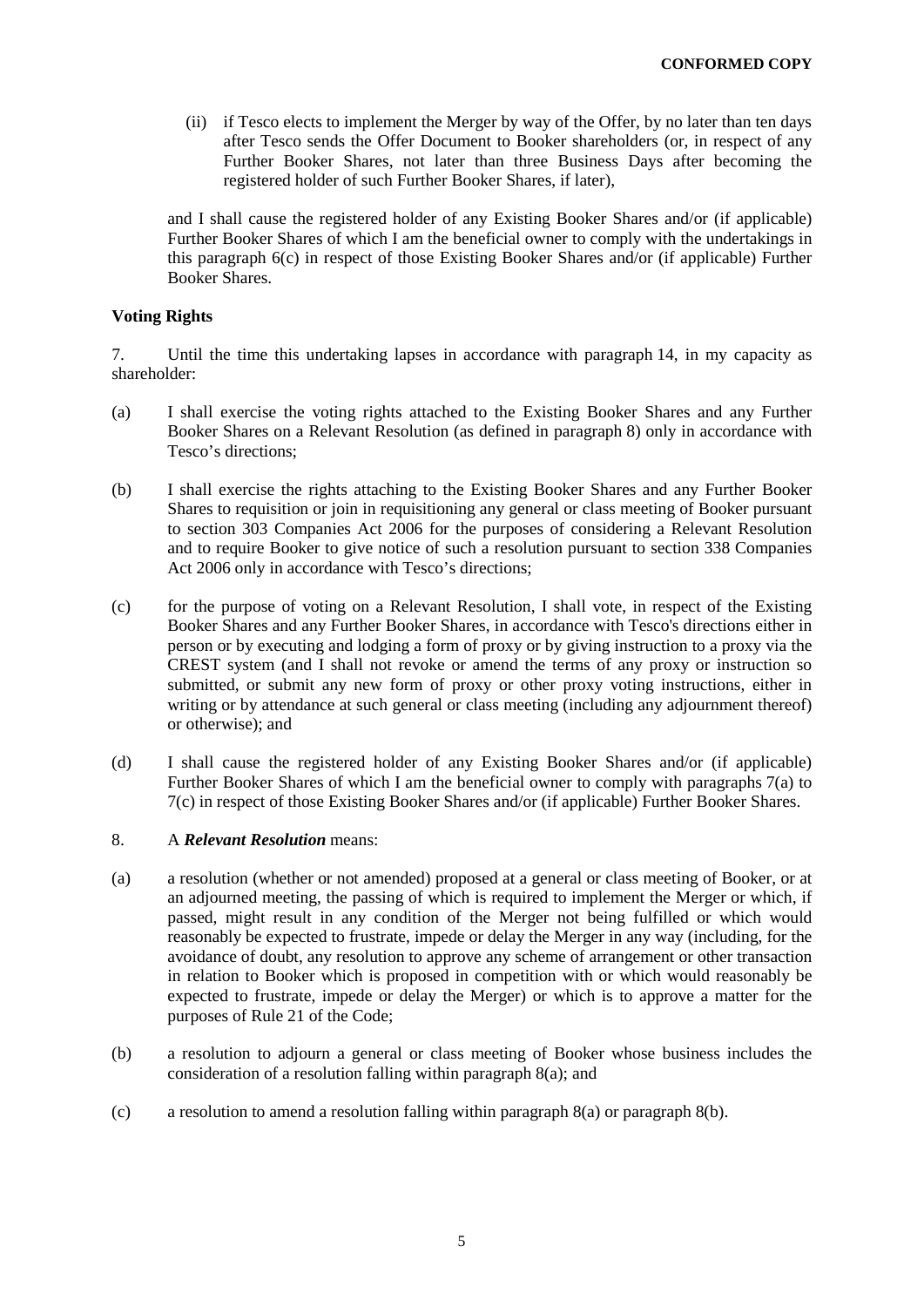(ii) if Tesco elects to implement the Merger by way of the Offer, by no later than ten days after Tesco sends the Offer Document to Booker shareholders (or, in respect of any Further Booker Shares, not later than three Business Days after becoming the registered holder of such Further Booker Shares, if later),

and I shall cause the registered holder of any Existing Booker Shares and/or (if applicable) Further Booker Shares of which I am the beneficial owner to comply with the undertakings in this paragraph [6\(c\)](#page-3-1) in respect of those Existing Booker Shares and/or (if applicable) Further Booker Shares.

### **Voting Rights**

<span id="page-4-4"></span>7. Until the time this undertaking lapses in accordance with paragraph [14,](#page-6-0) in my capacity as shareholder:

- <span id="page-4-1"></span>(a) I shall exercise the voting rights attached to the Existing Booker Shares and any Further Booker Shares on a Relevant Resolution (as defined in paragraph [8\)](#page-4-0) only in accordance with Tesco's directions;
- (b) I shall exercise the rights attaching to the Existing Booker Shares and any Further Booker Shares to requisition or join in requisitioning any general or class meeting of Booker pursuant to section 303 Companies Act 2006 for the purposes of considering a Relevant Resolution and to require Booker to give notice of such a resolution pursuant to section 338 Companies Act 2006 only in accordance with Tesco's directions;
- <span id="page-4-2"></span>(c) for the purpose of voting on a Relevant Resolution, I shall vote, in respect of the Existing Booker Shares and any Further Booker Shares, in accordance with Tesco's directions either in person or by executing and lodging a form of proxy or by giving instruction to a proxy via the CREST system (and I shall not revoke or amend the terms of any proxy or instruction so submitted, or submit any new form of proxy or other proxy voting instructions, either in writing or by attendance at such general or class meeting (including any adjournment thereof) or otherwise); and
- (d) I shall cause the registered holder of any Existing Booker Shares and/or (if applicable) Further Booker Shares of which I am the beneficial owner to comply with paragraphs [7\(a\)](#page-4-1) to [7\(c\)](#page-4-2) in respect of those Existing Booker Shares and/or (if applicable) Further Booker Shares.

### <span id="page-4-0"></span>8. A *Relevant Resolution* means:

- <span id="page-4-3"></span>(a) a resolution (whether or not amended) proposed at a general or class meeting of Booker, or at an adjourned meeting, the passing of which is required to implement the Merger or which, if passed, might result in any condition of the Merger not being fulfilled or which would reasonably be expected to frustrate, impede or delay the Merger in any way (including, for the avoidance of doubt, any resolution to approve any scheme of arrangement or other transaction in relation to Booker which is proposed in competition with or which would reasonably be expected to frustrate, impede or delay the Merger) or which is to approve a matter for the purposes of Rule 21 of the Code;
- (b) a resolution to adjourn a general or class meeting of Booker whose business includes the consideration of a resolution falling within paragraph [8\(a\);](#page-4-3) and
- (c) a resolution to amend a resolution falling within paragraph [8\(a\)](#page-4-3) or paragraph [8\(b\).](#page-4-0)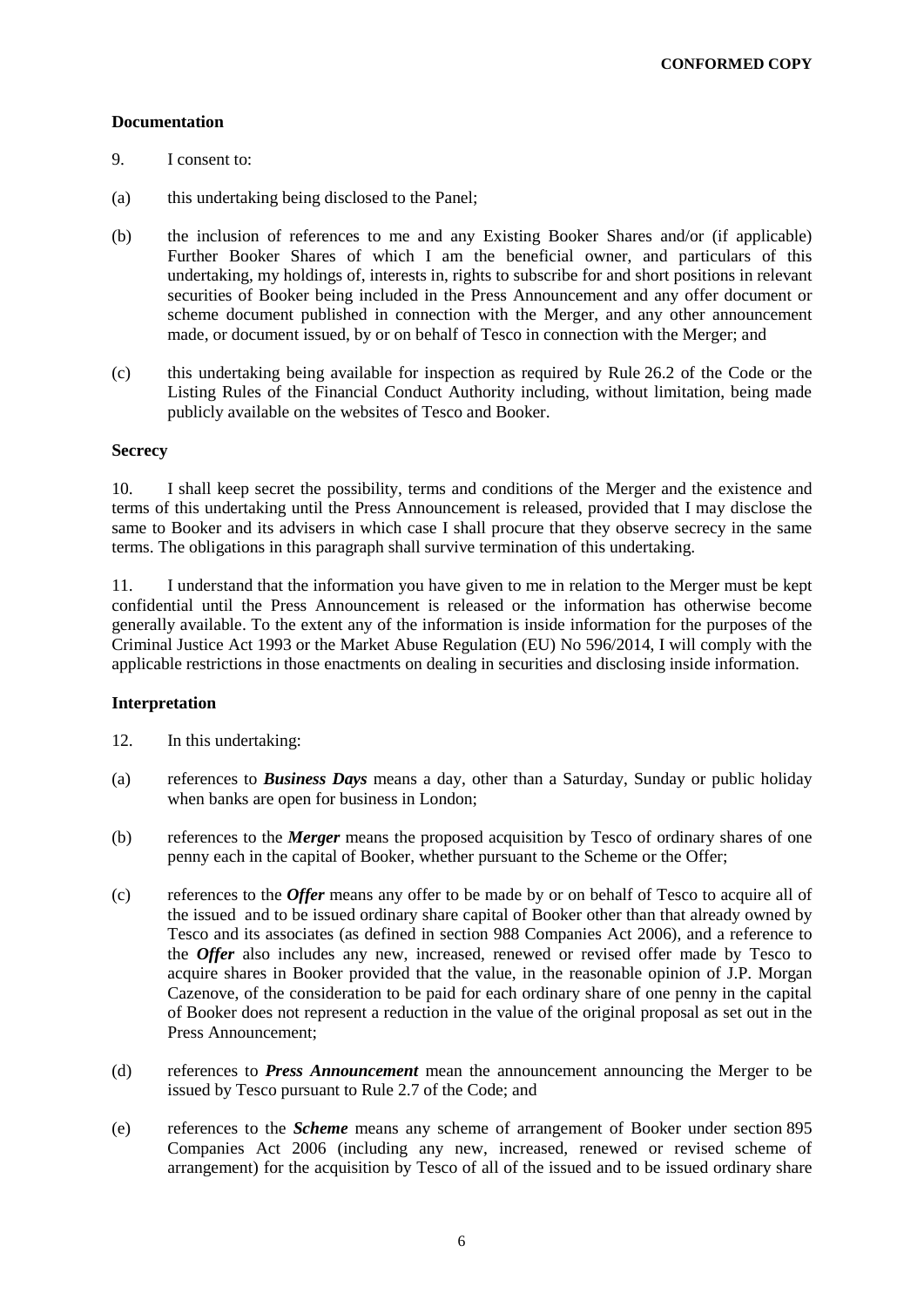### **Documentation**

- 9. I consent to:
- (a) this undertaking being disclosed to the Panel;
- (b) the inclusion of references to me and any Existing Booker Shares and/or (if applicable) Further Booker Shares of which I am the beneficial owner, and particulars of this undertaking, my holdings of, interests in, rights to subscribe for and short positions in relevant securities of Booker being included in the Press Announcement and any offer document or scheme document published in connection with the Merger, and any other announcement made, or document issued, by or on behalf of Tesco in connection with the Merger; and
- (c) this undertaking being available for inspection as required by Rule 26.2 of the Code or the Listing Rules of the Financial Conduct Authority including, without limitation, being made publicly available on the websites of Tesco and Booker.

### **Secrecy**

10. I shall keep secret the possibility, terms and conditions of the Merger and the existence and terms of this undertaking until the Press Announcement is released, provided that I may disclose the same to Booker and its advisers in which case I shall procure that they observe secrecy in the same terms. The obligations in this paragraph shall survive termination of this undertaking.

11. I understand that the information you have given to me in relation to the Merger must be kept confidential until the Press Announcement is released or the information has otherwise become generally available. To the extent any of the information is inside information for the purposes of the Criminal Justice Act 1993 or the Market Abuse Regulation (EU) No 596/2014, I will comply with the applicable restrictions in those enactments on dealing in securities and disclosing inside information.

## **Interpretation**

- <span id="page-5-0"></span>12. In this undertaking:
- (a) references to *Business Days* means a day, other than a Saturday, Sunday or public holiday when banks are open for business in London;
- (b) references to the *Merger* means the proposed acquisition by Tesco of ordinary shares of one penny each in the capital of Booker, whether pursuant to the Scheme or the Offer;
- (c) references to the *Offer* means any offer to be made by or on behalf of Tesco to acquire all of the issued and to be issued ordinary share capital of Booker other than that already owned by Tesco and its associates (as defined in section 988 Companies Act 2006), and a reference to the *Offer* also includes any new, increased, renewed or revised offer made by Tesco to acquire shares in Booker provided that the value, in the reasonable opinion of J.P. Morgan Cazenove, of the consideration to be paid for each ordinary share of one penny in the capital of Booker does not represent a reduction in the value of the original proposal as set out in the Press Announcement;
- (d) references to *Press Announcement* mean the announcement announcing the Merger to be issued by Tesco pursuant to Rule 2.7 of the Code; and
- (e) references to the *Scheme* means any scheme of arrangement of Booker under section 895 Companies Act 2006 (including any new, increased, renewed or revised scheme of arrangement) for the acquisition by Tesco of all of the issued and to be issued ordinary share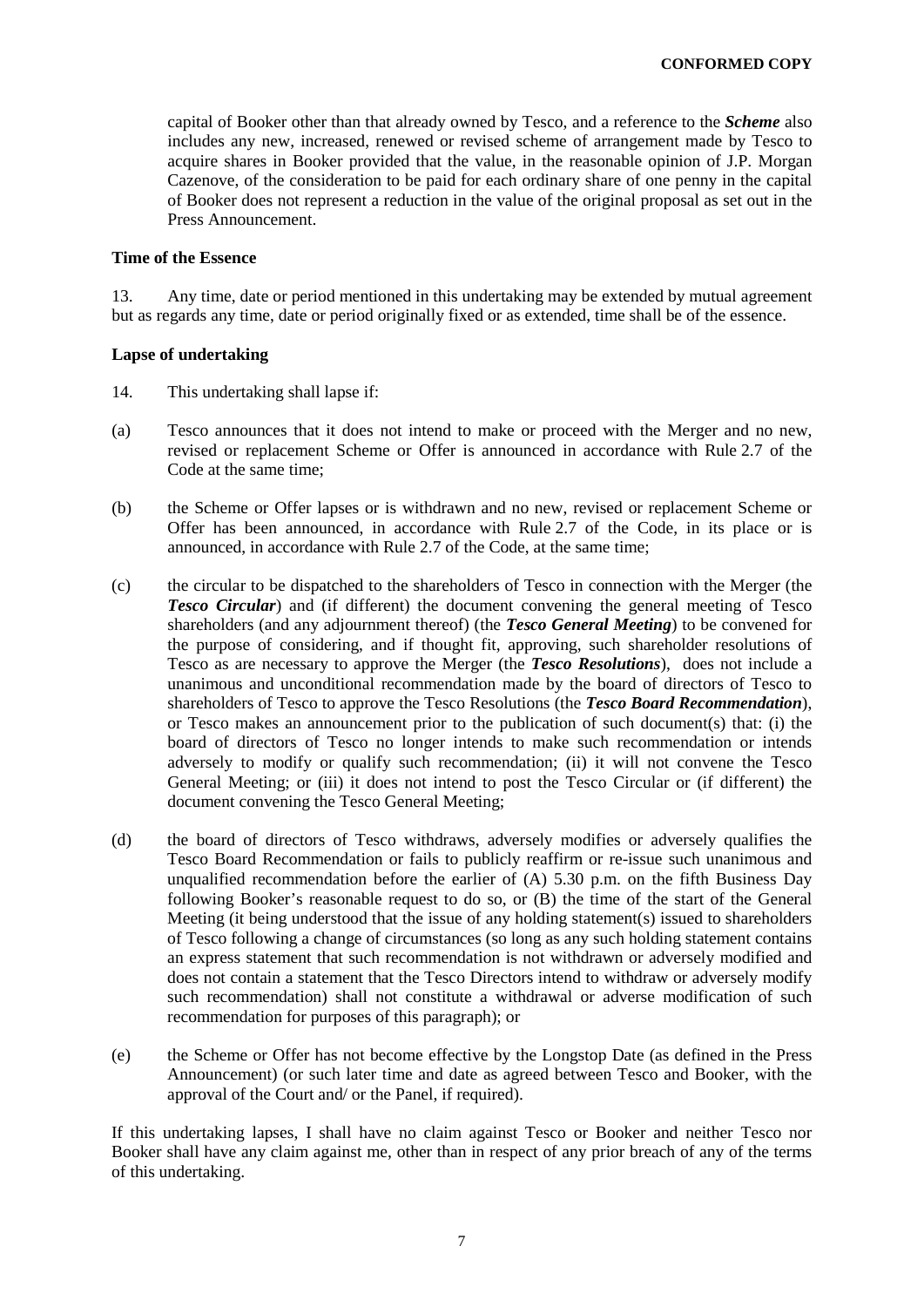capital of Booker other than that already owned by Tesco, and a reference to the *Scheme* also includes any new, increased, renewed or revised scheme of arrangement made by Tesco to acquire shares in Booker provided that the value, in the reasonable opinion of J.P. Morgan Cazenove, of the consideration to be paid for each ordinary share of one penny in the capital of Booker does not represent a reduction in the value of the original proposal as set out in the Press Announcement.

#### **Time of the Essence**

13. Any time, date or period mentioned in this undertaking may be extended by mutual agreement but as regards any time, date or period originally fixed or as extended, time shall be of the essence.

### **Lapse of undertaking**

- <span id="page-6-0"></span>14. This undertaking shall lapse if:
- (a) Tesco announces that it does not intend to make or proceed with the Merger and no new, revised or replacement Scheme or Offer is announced in accordance with Rule 2.7 of the Code at the same time;
- (b) the Scheme or Offer lapses or is withdrawn and no new, revised or replacement Scheme or Offer has been announced, in accordance with Rule 2.7 of the Code, in its place or is announced, in accordance with Rule 2.7 of the Code, at the same time;
- (c) the circular to be dispatched to the shareholders of Tesco in connection with the Merger (the *Tesco Circular*) and (if different) the document convening the general meeting of Tesco shareholders (and any adjournment thereof) (the *Tesco General Meeting*) to be convened for the purpose of considering, and if thought fit, approving, such shareholder resolutions of Tesco as are necessary to approve the Merger (the *Tesco Resolutions*), does not include a unanimous and unconditional recommendation made by the board of directors of Tesco to shareholders of Tesco to approve the Tesco Resolutions (the *Tesco Board Recommendation*), or Tesco makes an announcement prior to the publication of such document(s) that: (i) the board of directors of Tesco no longer intends to make such recommendation or intends adversely to modify or qualify such recommendation; (ii) it will not convene the Tesco General Meeting; or (iii) it does not intend to post the Tesco Circular or (if different) the document convening the Tesco General Meeting;
- (d) the board of directors of Tesco withdraws, adversely modifies or adversely qualifies the Tesco Board Recommendation or fails to publicly reaffirm or re-issue such unanimous and unqualified recommendation before the earlier of  $(A)$  5.30 p.m. on the fifth Business Day following Booker's reasonable request to do so, or (B) the time of the start of the General Meeting (it being understood that the issue of any holding statement(s) issued to shareholders of Tesco following a change of circumstances (so long as any such holding statement contains an express statement that such recommendation is not withdrawn or adversely modified and does not contain a statement that the Tesco Directors intend to withdraw or adversely modify such recommendation) shall not constitute a withdrawal or adverse modification of such recommendation for purposes of this paragraph); or
- (e) the Scheme or Offer has not become effective by the Longstop Date (as defined in the Press Announcement) (or such later time and date as agreed between Tesco and Booker, with the approval of the Court and/ or the Panel, if required).

If this undertaking lapses, I shall have no claim against Tesco or Booker and neither Tesco nor Booker shall have any claim against me, other than in respect of any prior breach of any of the terms of this undertaking.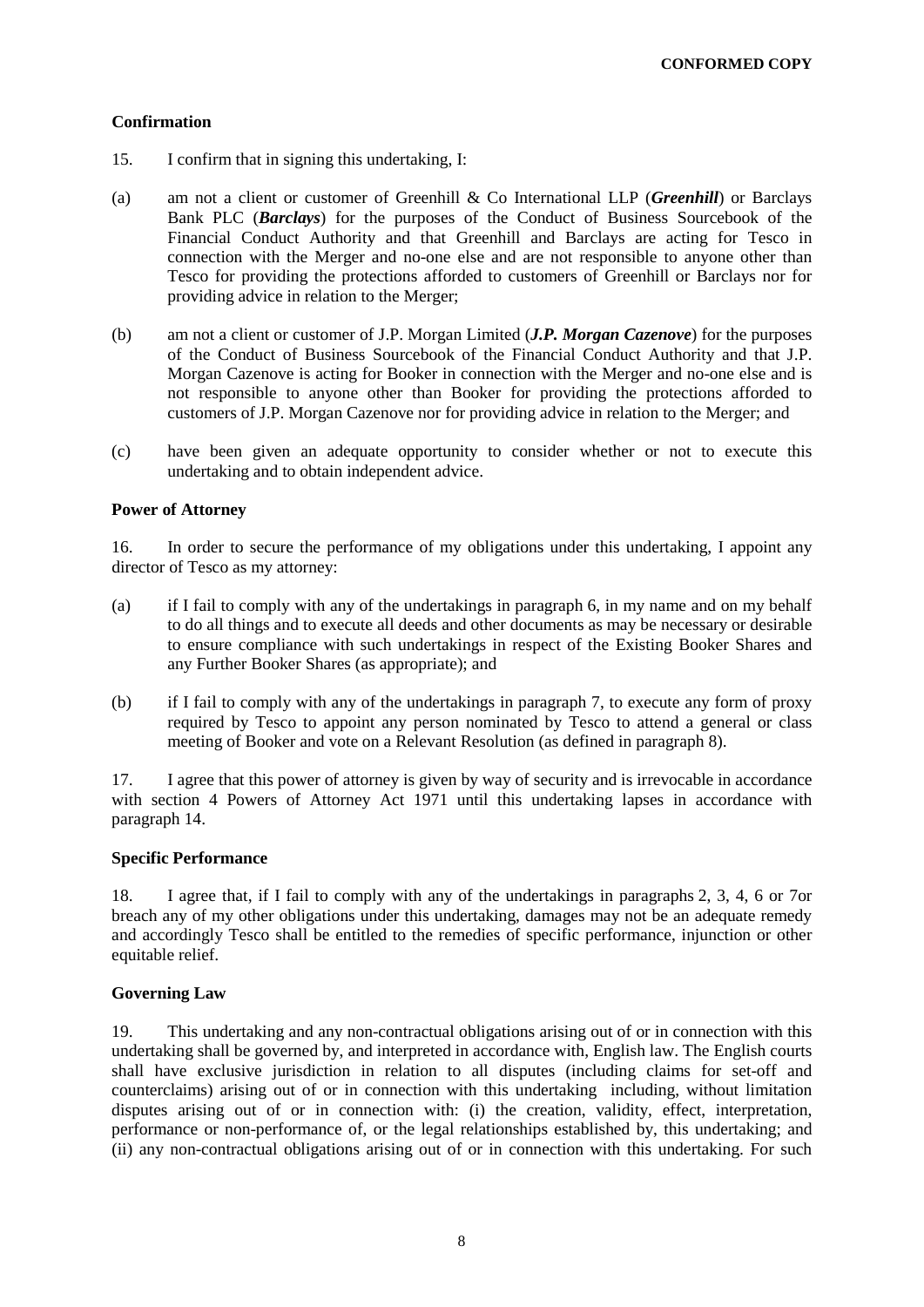## **Confirmation**

- 15. I confirm that in signing this undertaking, I:
- (a) am not a client or customer of Greenhill & Co International LLP (*Greenhill*) or Barclays Bank PLC (*Barclays*) for the purposes of the Conduct of Business Sourcebook of the Financial Conduct Authority and that Greenhill and Barclays are acting for Tesco in connection with the Merger and no-one else and are not responsible to anyone other than Tesco for providing the protections afforded to customers of Greenhill or Barclays nor for providing advice in relation to the Merger;
- (b) am not a client or customer of J.P. Morgan Limited (*J.P. Morgan Cazenove*) for the purposes of the Conduct of Business Sourcebook of the Financial Conduct Authority and that J.P. Morgan Cazenove is acting for Booker in connection with the Merger and no-one else and is not responsible to anyone other than Booker for providing the protections afforded to customers of J.P. Morgan Cazenove nor for providing advice in relation to the Merger; and
- (c) have been given an adequate opportunity to consider whether or not to execute this undertaking and to obtain independent advice.

## **Power of Attorney**

16. In order to secure the performance of my obligations under this undertaking, I appoint any director of Tesco as my attorney:

- (a) if I fail to comply with any of the undertakings in paragraph [6,](#page-2-1) in my name and on my behalf to do all things and to execute all deeds and other documents as may be necessary or desirable to ensure compliance with such undertakings in respect of the Existing Booker Shares and any Further Booker Shares (as appropriate); and
- (b) if I fail to comply with any of the undertakings in paragraph 7, to execute any form of proxy required by Tesco to appoint any person nominated by Tesco to attend a general or class meeting of Booker and vote on a Relevant Resolution (as defined in paragraph [8\)](#page-4-0).

17. I agree that this power of attorney is given by way of security and is irrevocable in accordance with section 4 Powers of Attorney Act 1971 until this undertaking lapses in accordance with paragraph [14.](#page-6-0)

## **Specific Performance**

18. I agree that, if I fail to comply with any of the undertakings in paragraphs [2,](#page-1-3) [3,](#page-1-4) [4,](#page-2-5) [6](#page-2-1) or [7o](#page-4-4)r breach any of my other obligations under this undertaking, damages may not be an adequate remedy and accordingly Tesco shall be entitled to the remedies of specific performance, injunction or other equitable relief.

## **Governing Law**

19. This undertaking and any non-contractual obligations arising out of or in connection with this undertaking shall be governed by, and interpreted in accordance with, English law. The English courts shall have exclusive jurisdiction in relation to all disputes (including claims for set-off and counterclaims) arising out of or in connection with this undertaking including, without limitation disputes arising out of or in connection with: (i) the creation, validity, effect, interpretation, performance or non-performance of, or the legal relationships established by, this undertaking; and (ii) any non-contractual obligations arising out of or in connection with this undertaking. For such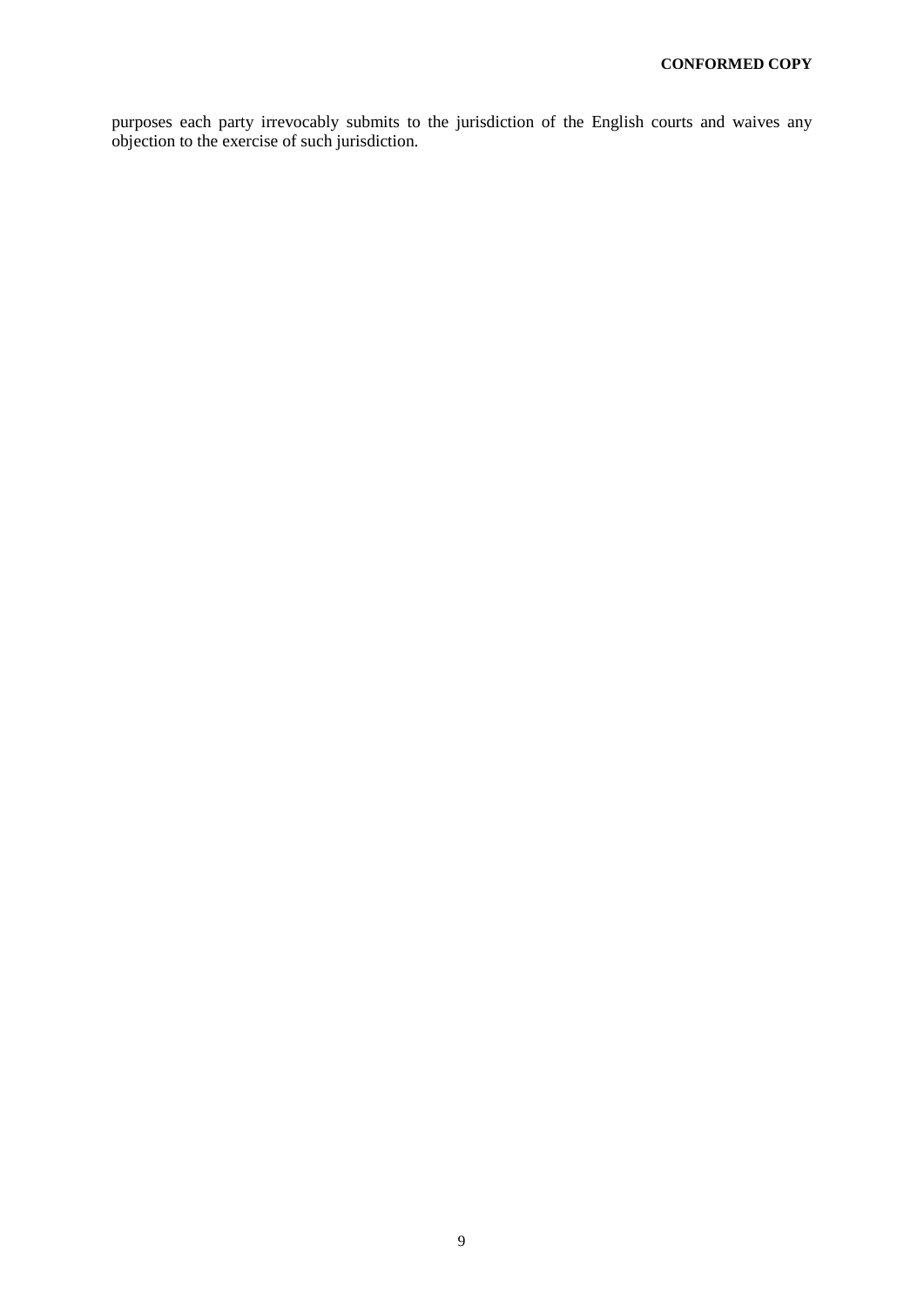purposes each party irrevocably submits to the jurisdiction of the English courts and waives any objection to the exercise of such jurisdiction.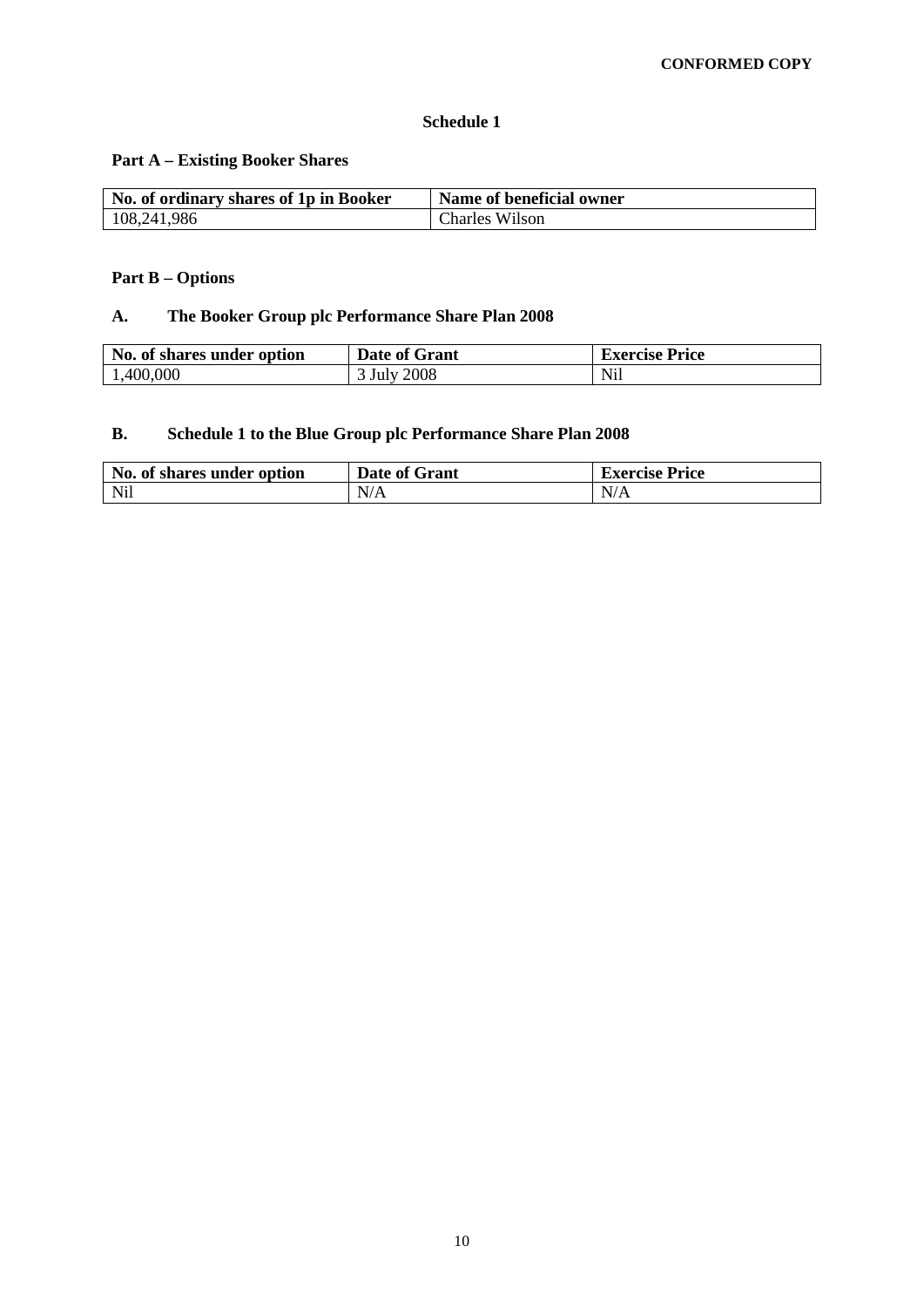### **Schedule 1**

# **Part A – Existing Booker Shares**

| No. of ordinary shares of 1p in Booker | Name of beneficial owner |
|----------------------------------------|--------------------------|
| 108,241,986                            | <b>Charles Wilson</b>    |

# **Part B – Options**

# **A. The Booker Group plc Performance Share Plan 2008**

| No. of shares under option | Date of Grant | <b>Exercise Price</b> |
|----------------------------|---------------|-----------------------|
| 1,400,000                  | 3 July 2008   | Nil                   |

# **B. Schedule 1 to the Blue Group plc Performance Share Plan 2008**

| No. of shares under option | Date of Grant | <b>Exercise Price</b> |  |
|----------------------------|---------------|-----------------------|--|
| <b>Nil</b>                 | N/A           | N/A                   |  |